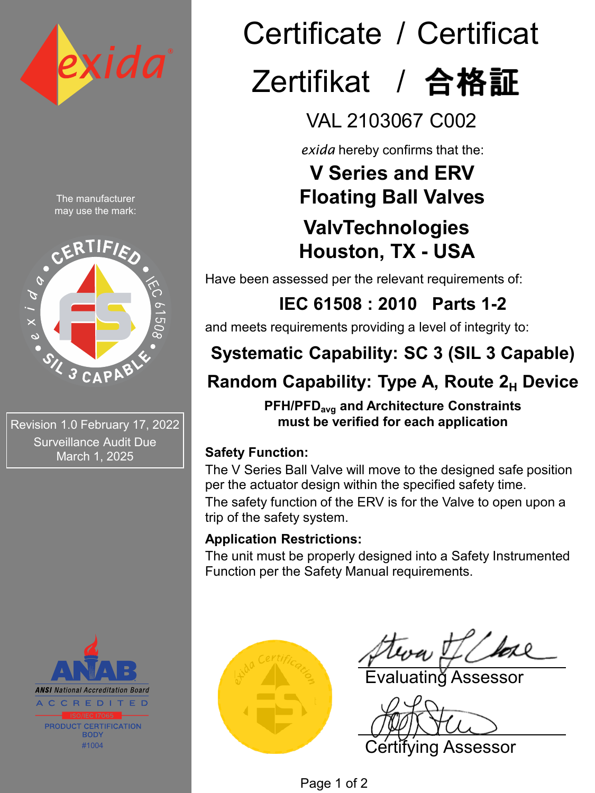

The manufacturer may use the mark:



Revision 1.0 February 17, 2022 Surveillance Audit Due March 1, 2025



# Certificate / Certificat Zertifikat / 合格証

# VAL 2103067 C002

*exida* hereby confirms that the:

# **V Series and ERV Floating Ball Valves**

### **ValvTechnologies Houston, TX - USA**

Have been assessed per the relevant requirements of:

**IEC 61508 : 2010 Parts 1-2** 

and meets requirements providing a level of integrity to:

# **Systematic Capability: SC 3 (SIL 3 Capable)**

# **Random Capability: Type A, Route 2<sub>H</sub> Device**

**PFH/PFDavg and Architecture Constraints must be verified for each application**

### **Safety Function:**

The V Series Ball Valve will move to the designed safe position per the actuator design within the specified safety time. The safety function of the ERV is for the Valve to open upon a trip of the safety system.

### **Application Restrictions:**

The unit must be properly designed into a Safety Instrumented Function per the Safety Manual requirements.



Evaluating Assessor

Certifying Assessor

Page 1 of 2